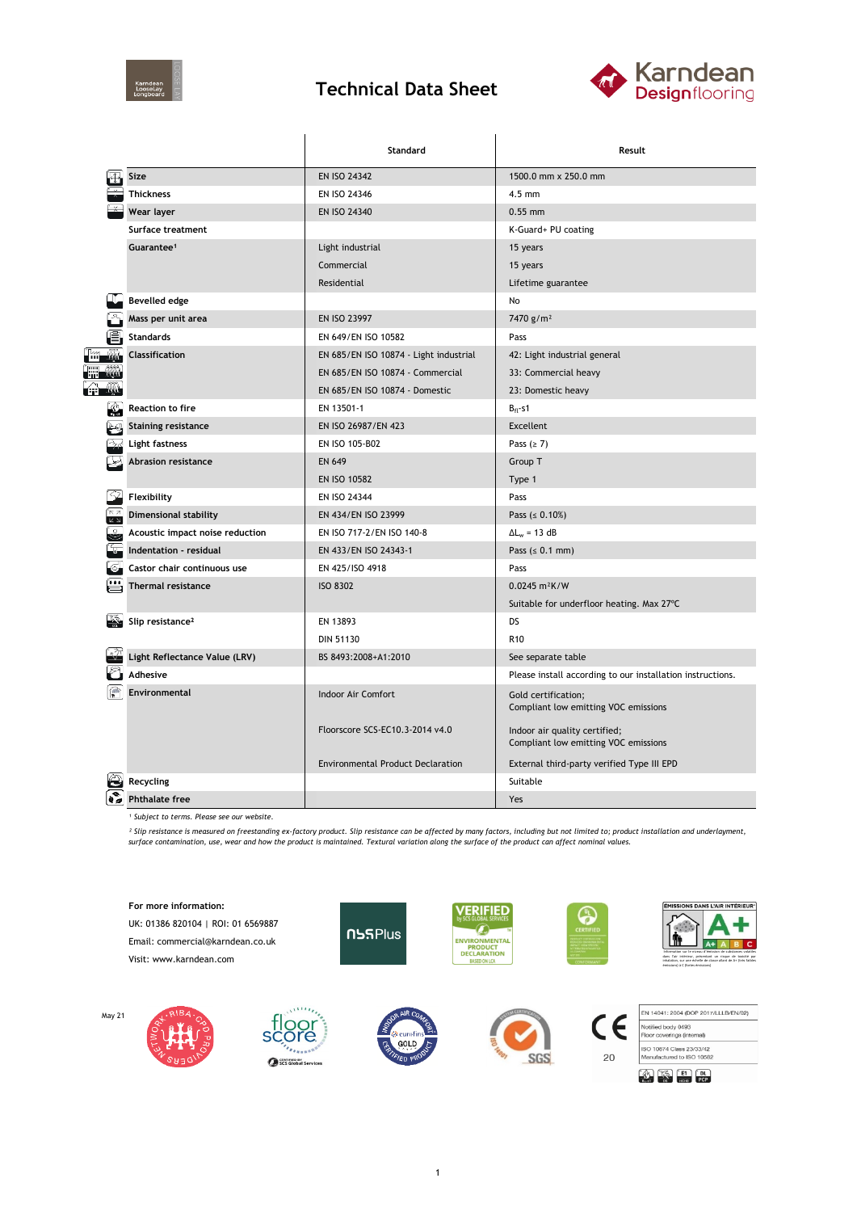

## **Technical Data Sheet**



|                                              |                                 | Standard                                 | Result                                                                |  |  |
|----------------------------------------------|---------------------------------|------------------------------------------|-----------------------------------------------------------------------|--|--|
|                                              | Size                            | <b>EN ISO 24342</b>                      | 1500.0 mm x 250.0 mm                                                  |  |  |
|                                              | <b>Thickness</b>                | EN ISO 24346                             | $4.5$ mm                                                              |  |  |
|                                              | Wear layer                      | EN ISO 24340                             | $0.55$ mm                                                             |  |  |
|                                              | Surface treatment               |                                          | K-Guard+ PU coating                                                   |  |  |
|                                              | Guarantee <sup>1</sup>          | Light industrial                         | 15 years                                                              |  |  |
|                                              |                                 | Commercial                               | 15 years                                                              |  |  |
|                                              |                                 | Residential                              | Lifetime guarantee                                                    |  |  |
|                                              | <b>Bevelled edge</b>            |                                          | No                                                                    |  |  |
|                                              | Mass per unit area              | <b>EN ISO 23997</b>                      | 7470 g/m <sup>2</sup>                                                 |  |  |
|                                              | <b>Standards</b>                | EN 649/EN ISO 10582                      | Pass                                                                  |  |  |
|                                              | Classification                  | EN 685/EN ISO 10874 - Light industrial   | 42: Light industrial general                                          |  |  |
|                                              |                                 | EN 685/EN ISO 10874 - Commercial         | 33: Commercial heavy                                                  |  |  |
|                                              |                                 | EN 685/EN ISO 10874 - Domestic           | 23: Domestic heavy                                                    |  |  |
| K.                                           | Reaction to fire                | EN 13501-1                               | $B_{fl}$ -s1                                                          |  |  |
|                                              | <b>Staining resistance</b>      | EN ISO 26987/EN 423                      | <b>Excellent</b>                                                      |  |  |
|                                              | Light fastness                  | EN ISO 105-B02                           | Pass $(≥ 7)$                                                          |  |  |
|                                              | <b>Abrasion resistance</b>      | <b>EN 649</b>                            | Group T                                                               |  |  |
|                                              |                                 | <b>EN ISO 10582</b>                      | Type 1                                                                |  |  |
| -42                                          | Flexibility                     | EN ISO 24344                             | Pass                                                                  |  |  |
| $\begin{array}{c}\n\hline\n\pi\n\end{array}$ | <b>Dimensional stability</b>    | EN 434/EN ISO 23999                      | Pass ( $\leq 0.10\%$ )                                                |  |  |
| 3                                            | Acoustic impact noise reduction | EN ISO 717-2/EN ISO 140-8                | $\Delta L_w = 13 dB$                                                  |  |  |
|                                              | Indentation - residual          | EN 433/EN ISO 24343-1                    | Pass $(0.1 \text{ mm})$                                               |  |  |
|                                              | Castor chair continuous use     | EN 425/ISO 4918                          | Pass                                                                  |  |  |
|                                              | <b>Thermal resistance</b>       | <b>ISO 8302</b>                          | $0.0245 \text{ m}^2 \text{K/W}$                                       |  |  |
|                                              |                                 |                                          | Suitable for underfloor heating. Max 27°C                             |  |  |
|                                              | Slip resistance <sup>2</sup>    | EN 13893                                 | DS                                                                    |  |  |
|                                              |                                 | <b>DIN 51130</b>                         | R <sub>10</sub>                                                       |  |  |
|                                              | Light Reflectance Value (LRV)   | BS 8493:2008+A1:2010                     | See separate table                                                    |  |  |
|                                              | <b>Adhesive</b>                 |                                          | Please install according to our installation instructions.            |  |  |
|                                              | Environmental                   | Indoor Air Comfort                       | Gold certification;<br>Compliant low emitting VOC emissions           |  |  |
|                                              |                                 | Floorscore SCS-EC10.3-2014 v4.0          | Indoor air quality certified;<br>Compliant low emitting VOC emissions |  |  |
|                                              |                                 | <b>Environmental Product Declaration</b> | External third-party verified Type III EPD                            |  |  |
|                                              | Recycling                       |                                          | Suitable                                                              |  |  |
|                                              | <b>Phthalate free</b>           |                                          | Yes                                                                   |  |  |

*¹ Subject to terms. Please see our website.*

May 21

<sup>2</sup> Slip resistance is measured on freestanding ex-factory product. Slip resistance can be affected by many factors, including but not limited to; product installation and underlayment,<br>surface contamination, use, wear and